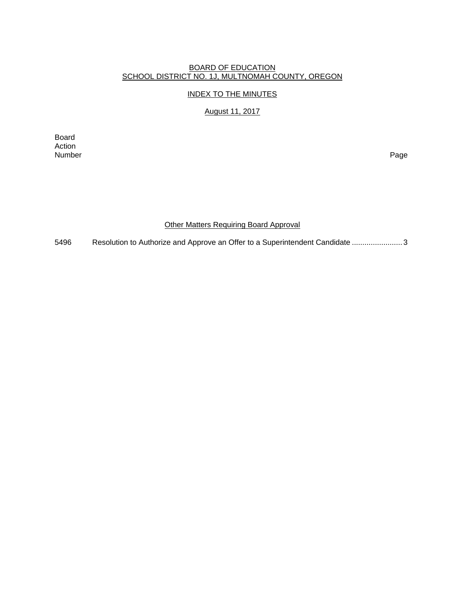#### BOARD OF EDUCATION SCHOOL DISTRICT NO. 1J, MULTNOMAH COUNTY, OREGON

## INDEX TO THE MINUTES

# August 11, 2017

Board Action<br>Number Number Page

## Other Matters Requiring Board Approval

5496 Resolution to Authorize and Approve an Offer to a Superintendent Candidate ..............................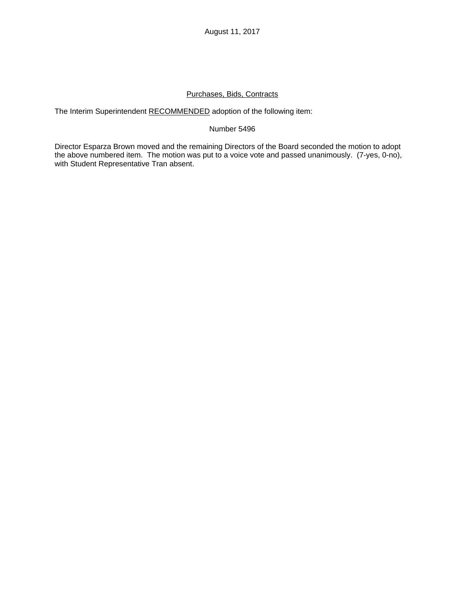August 11, 2017

# Purchases, Bids, Contracts

The Interim Superintendent RECOMMENDED adoption of the following item:

## Number 5496

Director Esparza Brown moved and the remaining Directors of the Board seconded the motion to adopt the above numbered item. The motion was put to a voice vote and passed unanimously. (7-yes, 0-no), with Student Representative Tran absent.